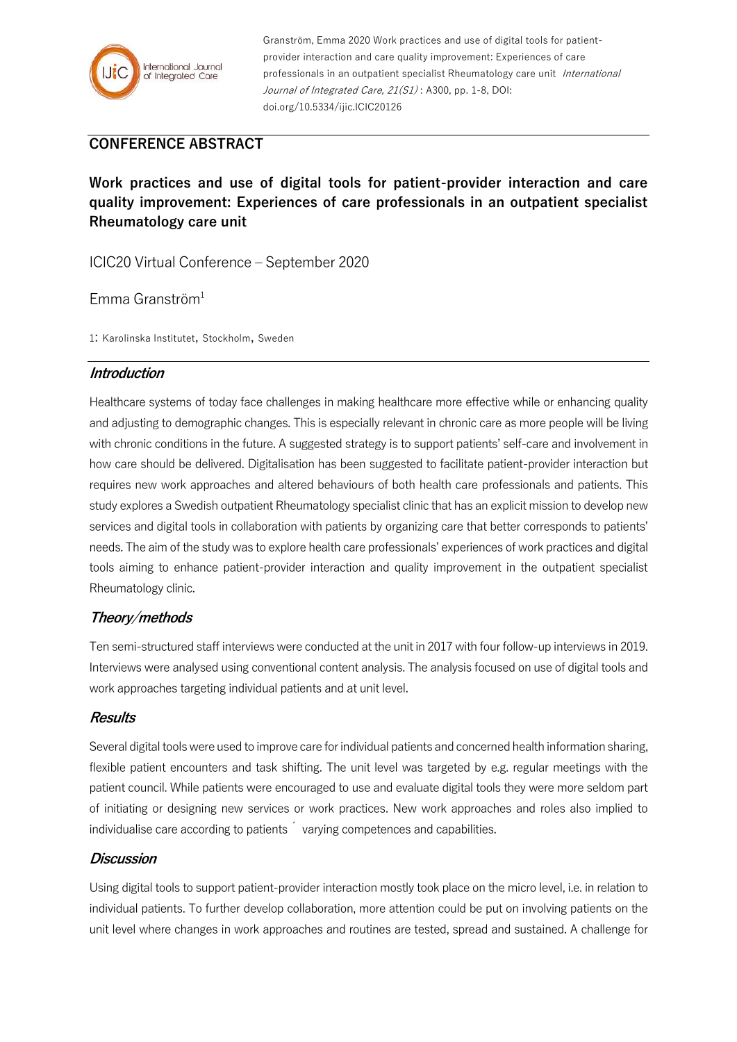

Granström, Emma 2020 Work practices and use of digital tools for patientprovider interaction and care quality improvement: Experiences of care professionals in an outpatient specialist Rheumatology care unit International Journal of Integrated Care, 21(S1): A300, pp. 1-8, DOI: doi.org/10.5334/ijic.ICIC20126

# **CONFERENCE ABSTRACT**

**Work practices and use of digital tools for patient-provider interaction and care quality improvement: Experiences of care professionals in an outpatient specialist Rheumatology care unit**

ICIC20 Virtual Conference – September 2020

Emma Granström $1$ 

1: Karolinska Institutet, Stockholm, Sweden

#### **Introduction**

Healthcare systems of today face challenges in making healthcare more effective while or enhancing quality and adjusting to demographic changes. This is especially relevant in chronic care as more people will be living with chronic conditions in the future. A suggested strategy is to support patients' self-care and involvement in how care should be delivered. Digitalisation has been suggested to facilitate patient-provider interaction but requires new work approaches and altered behaviours of both health care professionals and patients. This study explores a Swedish outpatient Rheumatology specialist clinic that has an explicit mission to develop new services and digital tools in collaboration with patients by organizing care that better corresponds to patients' needs. The aim of the study was to explore health care professionals' experiences of work practices and digital tools aiming to enhance patient-provider interaction and quality improvement in the outpatient specialist Rheumatology clinic.

## **Theory/methods**

Ten semi-structured staff interviews were conducted at the unit in 2017 with four follow-up interviews in 2019. Interviews were analysed using conventional content analysis. The analysis focused on use of digital tools and work approaches targeting individual patients and at unit level.

## **Results**

Several digital tools were used to improve care for individual patients and concerned health information sharing, flexible patient encounters and task shifting. The unit level was targeted by e.g. regular meetings with the patient council. While patients were encouraged to use and evaluate digital tools they were more seldom part of initiating or designing new services or work practices. New work approaches and roles also implied to individualise care according to patients  $\sim$  varying competences and capabilities.

## **Discussion**

Using digital tools to support patient-provider interaction mostly took place on the micro level, i.e. in relation to individual patients. To further develop collaboration, more attention could be put on involving patients on the unit level where changes in work approaches and routines are tested, spread and sustained. A challenge for